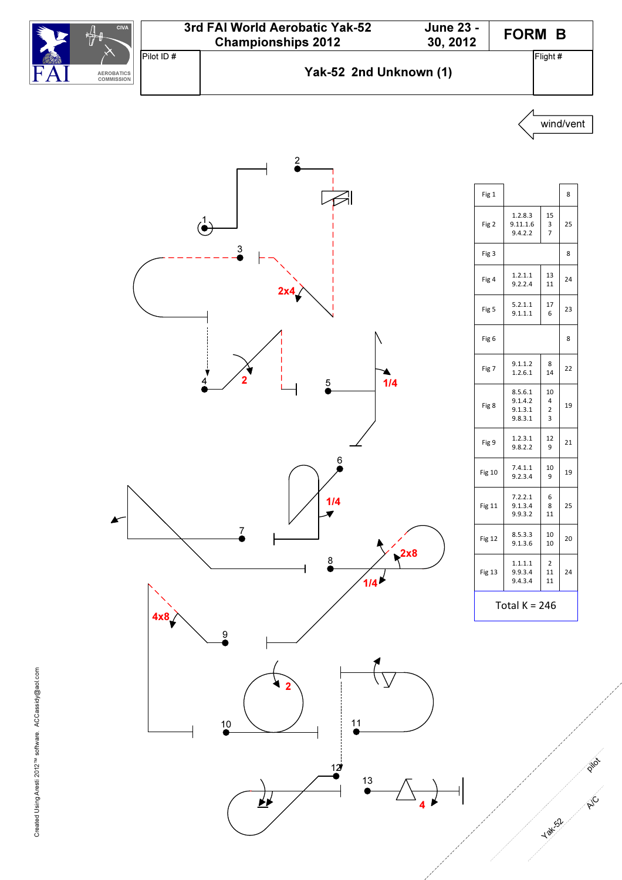



 $\overrightarrow{F}$ 

| Fig 1         |                                          |                   | 8  |  |
|---------------|------------------------------------------|-------------------|----|--|
| Fig 2         | 1.2.8.3<br>9.11.1.6<br>9.4.2.2           | 15<br>3<br>7      | 25 |  |
| Fig 3         |                                          |                   | 8  |  |
| Fig 4         | 1.2.1.1<br>9.2.2.4                       | 13<br>11          | 24 |  |
| Fig 5         | 5.2.1.1<br>9.1.1.1                       | 17<br>6           | 23 |  |
| Fig 6         |                                          |                   | 8  |  |
| Fig 7         | 9.1.1.2<br>1.2.6.1                       | 8<br>14           | 22 |  |
| Fig 8         | 8.5.6.1<br>9.1.4.2<br>9.1.3.1<br>9.8.3.1 | 10<br>4<br>2<br>3 | 19 |  |
| Fig 9         | 1.2.3.1<br>9.8.2.2                       | 12<br>9           | 21 |  |
| Fig 10        | 7.4.1.1<br>9.2.3.4                       | 10<br>9           | 19 |  |
| <b>Fig 11</b> | 7.2.2.1<br>9.1.3.4<br>9.9.3.2            | 6<br>8<br>11      | 25 |  |
| Fig 12        | 8.5.3.3<br>9.1.3.6                       | 10<br>10          | 20 |  |
| Fig 13        | 1.1.1.1<br>9.9.3.4<br>9.4.3.4            | 2<br>11<br>11     | 24 |  |
| Гоtal К = 246 |                                          |                   |    |  |

wind/vent

p in

A/C

Yak<sub>52</sub>

4